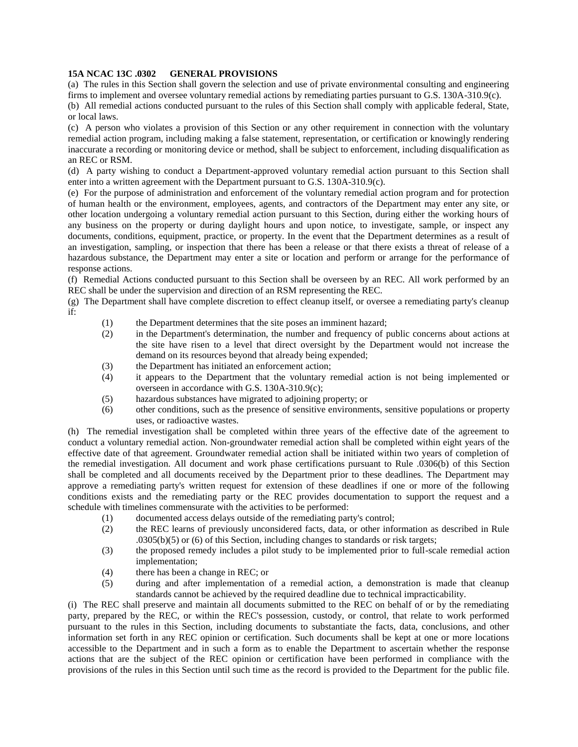## **15A NCAC 13C .0302 GENERAL PROVISIONS**

(a) The rules in this Section shall govern the selection and use of private environmental consulting and engineering firms to implement and oversee voluntary remedial actions by remediating parties pursuant to G.S. 130A-310.9(c).

(b) All remedial actions conducted pursuant to the rules of this Section shall comply with applicable federal, State, or local laws.

(c) A person who violates a provision of this Section or any other requirement in connection with the voluntary remedial action program, including making a false statement, representation, or certification or knowingly rendering inaccurate a recording or monitoring device or method, shall be subject to enforcement, including disqualification as an REC or RSM.

(d) A party wishing to conduct a Department-approved voluntary remedial action pursuant to this Section shall enter into a written agreement with the Department pursuant to G.S. 130A-310.9(c).

(e) For the purpose of administration and enforcement of the voluntary remedial action program and for protection of human health or the environment, employees, agents, and contractors of the Department may enter any site, or other location undergoing a voluntary remedial action pursuant to this Section, during either the working hours of any business on the property or during daylight hours and upon notice, to investigate, sample, or inspect any documents, conditions, equipment, practice, or property. In the event that the Department determines as a result of an investigation, sampling, or inspection that there has been a release or that there exists a threat of release of a hazardous substance, the Department may enter a site or location and perform or arrange for the performance of response actions.

(f) Remedial Actions conducted pursuant to this Section shall be overseen by an REC. All work performed by an REC shall be under the supervision and direction of an RSM representing the REC.

(g) The Department shall have complete discretion to effect cleanup itself, or oversee a remediating party's cleanup if:

- (1) the Department determines that the site poses an imminent hazard;
- (2) in the Department's determination, the number and frequency of public concerns about actions at the site have risen to a level that direct oversight by the Department would not increase the demand on its resources beyond that already being expended;
- (3) the Department has initiated an enforcement action;
- (4) it appears to the Department that the voluntary remedial action is not being implemented or overseen in accordance with G.S. 130A-310.9(c);
- (5) hazardous substances have migrated to adjoining property; or
- (6) other conditions, such as the presence of sensitive environments, sensitive populations or property uses, or radioactive wastes.

(h) The remedial investigation shall be completed within three years of the effective date of the agreement to conduct a voluntary remedial action. Non-groundwater remedial action shall be completed within eight years of the effective date of that agreement. Groundwater remedial action shall be initiated within two years of completion of the remedial investigation. All document and work phase certifications pursuant to Rule .0306(b) of this Section shall be completed and all documents received by the Department prior to these deadlines. The Department may approve a remediating party's written request for extension of these deadlines if one or more of the following conditions exists and the remediating party or the REC provides documentation to support the request and a schedule with timelines commensurate with the activities to be performed:

- (1) documented access delays outside of the remediating party's control;
- (2) the REC learns of previously unconsidered facts, data, or other information as described in Rule .0305(b)(5) or (6) of this Section, including changes to standards or risk targets;
- (3) the proposed remedy includes a pilot study to be implemented prior to full-scale remedial action implementation;
- (4) there has been a change in REC; or
- (5) during and after implementation of a remedial action, a demonstration is made that cleanup standards cannot be achieved by the required deadline due to technical impracticability.

(i) The REC shall preserve and maintain all documents submitted to the REC on behalf of or by the remediating party, prepared by the REC, or within the REC's possession, custody, or control, that relate to work performed pursuant to the rules in this Section, including documents to substantiate the facts, data, conclusions, and other information set forth in any REC opinion or certification. Such documents shall be kept at one or more locations accessible to the Department and in such a form as to enable the Department to ascertain whether the response actions that are the subject of the REC opinion or certification have been performed in compliance with the provisions of the rules in this Section until such time as the record is provided to the Department for the public file.